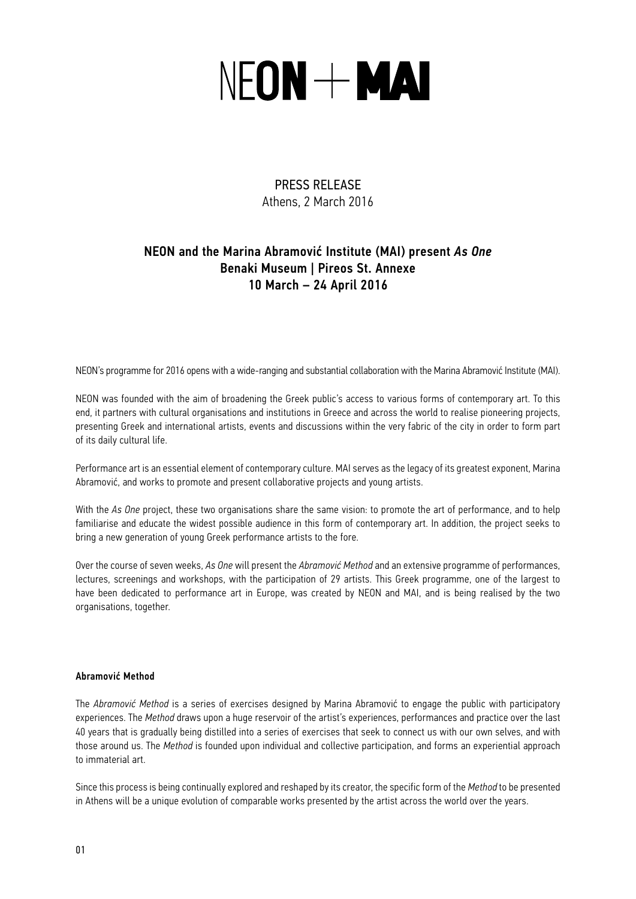# NEON + MAI

# PRESS RELEASE Athens, 2 Μarch 2016

# NEON and the Marina Abramović Institute (MAI) present *As One* Benaki Museum | Pireos St. Annexe 10 Μarch – 24 Αpril 2016

NEON's programme for 2016 opens with a wide-ranging and substantial collaboration with the Marina Abramović Institute (MAI).

NEON was founded with the aim of broadening the Greek public's access to various forms of contemporary art. To this end, it partners with cultural organisations and institutions in Greece and across the world to realise pioneering projects, presenting Greek and international artists, events and discussions within the very fabric of the city in order to form part of its daily cultural life.

Performance art is an essential element of contemporary culture. MAI serves as the legacy of its greatest exponent, Marina Abramović, and works to promote and present collaborative projects and young artists.

With the As One project, these two organisations share the same vision: to promote the art of performance, and to help familiarise and educate the widest possible audience in this form of contemporary art. In addition, the project seeks to bring a new generation of young Greek performance artists to the fore.

Over the course of seven weeks, *As One* will present the *Abramović Method* and an extensive programme of performances, lectures, screenings and workshops, with the participation of 29 artists. This Greek programme, one of the largest to have been dedicated to performance art in Europe, was created by NEON and MAI, and is being realised by the two organisations, together.

## Abramović Method

The *Abramović Method* is a series of exercises designed by Marina Abramović to engage the public with participatory experiences. The *Method* draws upon a huge reservoir of the artist's experiences, performances and practice over the last 40 years that is gradually being distilled into a series of exercises that seek to connect us with our own selves, and with those around us. The *Method* is founded upon individual and collective participation, and forms an experiential approach to immaterial art.

Since this process is being continually explored and reshaped by its creator, the specific form of the *Method* to be presented in Athens will be a unique evolution of comparable works presented by the artist across the world over the years.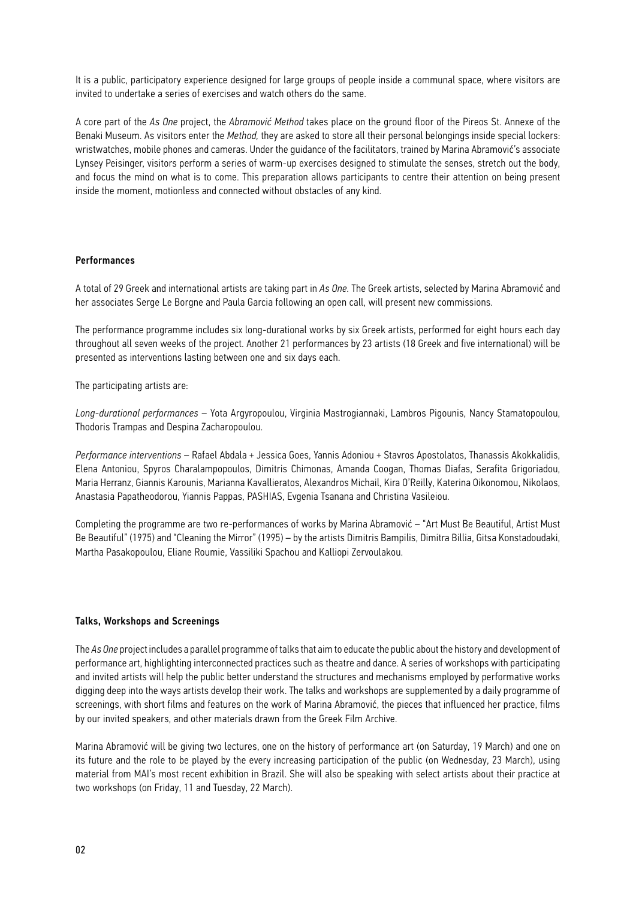It is a public, participatory experience designed for large groups of people inside a communal space, where visitors are invited to undertake a series of exercises and watch others do the same.

A core part of the *As One* project, the *Abramović Method* takes place on the ground floor of the Pireos St. Annexe of the Benaki Museum. As visitors enter the *Method,* they are asked to store all their personal belongings inside special lockers: wristwatches, mobile phones and cameras. Under the guidance of the facilitators, trained by Marina Abramović's associate Lynsey Peisinger, visitors perform a series of warm-up exercises designed to stimulate the senses, stretch out the body, and focus the mind on what is to come. This preparation allows participants to centre their attention on being present inside the moment, motionless and connected without obstacles of any kind.

#### Performances

A total of 29 Greek and international artists are taking part in *As One.* The Greek artists, selected by Marina Abramović and her associates Serge Le Borgne and Paula Garcia following an open call, will present new commissions.

The performance programme includes six long-durational works by six Greek artists, performed for eight hours each day throughout all seven weeks of the project. Another 21 performances by 23 artists (18 Greek and five international) will be presented as interventions lasting between one and six days each.

The participating artists are:

*Long-durational performances* – Yota Argyropoulou, Virginia Mastrogiannaki, Lambros Pigounis, Nancy Stamatopoulou, Thodoris Trampas and Despina Zacharopoulou.

*Performance interventions* – Rafael Abdala + Jessica Goes, Yannis Adoniou + Stavros Apostolatos, Thanassis Akokkalidis, Elena Antoniou, Spyros Charalampopoulos, Dimitris Chimonas, Amanda Coogan, Thomas Diafas, Serafita Grigoriadou, Maria Herranz, Giannis Karounis, Marianna Kavallieratos, Alexandros Michail, Kira O'Reilly, Katerina Oikonomou, Nikolaos, Anastasia Papatheodorou, Yiannis Pappas, PASHIAS, Evgenia Tsanana and Christina Vasileiou.

Completing the programme are two re-performances of works by Marina Abramović – "Art Must Be Beautiful, Artist Must Be Beautiful" (1975) and "Cleaning the Mirror" (1995) – by the artists Dimitris Bampilis, Dimitra Billia, Gitsa Konstadoudaki, Martha Pasakopoulou, Eliane Roumie, Vassiliki Spachou and Kalliopi Zervoulakou.

#### Talks, Workshops and Screenings

The *As One* project includes a parallel programme of talks that aim to educate the public about the history and development of performance art, highlighting interconnected practices such as theatre and dance. A series of workshops with participating and invited artists will help the public better understand the structures and mechanisms employed by performative works digging deep into the ways artists develop their work. The talks and workshops are supplemented by a daily programme of screenings, with short films and features on the work of Marina Abramović, the pieces that influenced her practice, films by our invited speakers, and other materials drawn from the Greek Film Archive.

Marina Abramović will be giving two lectures, one on the history of performance art (on Saturday, 19 March) and one on its future and the role to be played by the every increasing participation of the public (on Wednesday, 23 March), using material from MAI's most recent exhibition in Brazil. She will also be speaking with select artists about their practice at two workshops (on Friday, 11 and Tuesday, 22 March).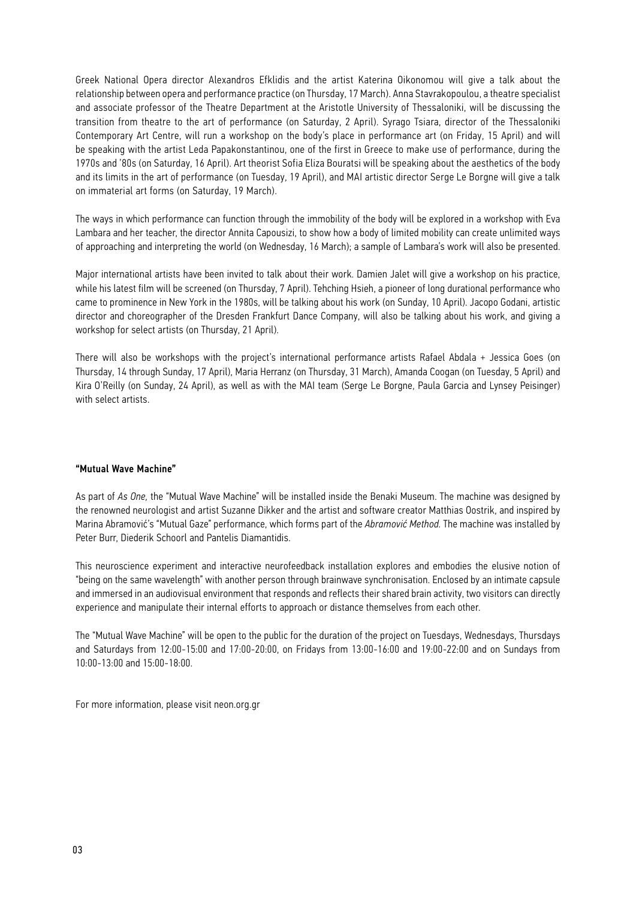Greek National Opera director Alexandros Efklidis and the artist Katerina Oikonomou will give a talk about the relationship between opera and performance practice (on Thursday, 17 March). Anna Stavrakopoulou, a theatre specialist and associate professor of the Theatre Department at the Aristotle University of Thessaloniki, will be discussing the transition from theatre to the art of performance (on Saturday, 2 April). Syrago Tsiara, director of the Thessaloniki Contemporary Art Centre, will run a workshop on the body's place in performance art (on Friday, 15 April) and will be speaking with the artist Leda Papakonstantinou, one of the first in Greece to make use of performance, during the 1970s and '80s (on Saturday, 16 April). Art theorist Sofia Eliza Bouratsi will be speaking about the aesthetics of the body and its limits in the art of performance (on Tuesday, 19 April), and MAI artistic director Serge Le Borgne will give a talk on immaterial art forms (on Saturday, 19 March).

The ways in which performance can function through the immobility of the body will be explored in a workshop with Eva Lambara and her teacher, the director Annita Capousizi, to show how a body of limited mobility can create unlimited ways of approaching and interpreting the world (on Wednesday, 16 March); a sample of Lambara's work will also be presented.

Major international artists have been invited to talk about their work. Damien Jalet will give a workshop on his practice, while his latest film will be screened (on Thursday, 7 April). Tehching Hsieh, a pioneer of long durational performance who came to prominence in New York in the 1980s, will be talking about his work (on Sunday, 10 April). Jacopo Godani, artistic director and choreographer of the Dresden Frankfurt Dance Company, will also be talking about his work, and giving a workshop for select artists (on Thursday, 21 April).

There will also be workshops with the project's international performance artists Rafael Abdala + Jessica Goes (on Thursday, 14 through Sunday, 17 April), Maria Herranz (on Thursday, 31 March), Amanda Coogan (on Tuesday, 5 April) and Kira O'Reilly (on Sunday, 24 April), as well as with the MAI team (Serge Le Borgne, Paula Garcia and Lynsey Peisinger) with select artists.

#### "Mutual Wave Machine"

As part of *As One,* the "Mutual Wave Machine" will be installed inside the Benaki Museum. The machine was designed by the renowned neurologist and artist Suzanne Dikker and the artist and software creator Matthias Oostrik, and inspired by Marina Abramović's "Mutual Gaze" performance, which forms part of the *Abramović Method.* The machine was installed by Peter Burr, Diederik Schoorl and Pantelis Diamantidis.

This neuroscience experiment and interactive neurofeedback installation explores and embodies the elusive notion of "being on the same wavelength" with another person through brainwave synchronisation. Enclosed by an intimate capsule and immersed in an audiovisual environment that responds and reflects their shared brain activity, two visitors can directly experience and manipulate their internal efforts to approach or distance themselves from each other.

The "Mutual Wave Machine" will be open to the public for the duration of the project on Tuesdays, Wednesdays, Thursdays and Saturdays from 12:00-15:00 and 17:00-20:00, on Fridays from 13:00-16:00 and 19:00-22:00 and on Sundays from 10:00-13:00 and 15:00-18:00.

For more information, please visit neon.org.gr